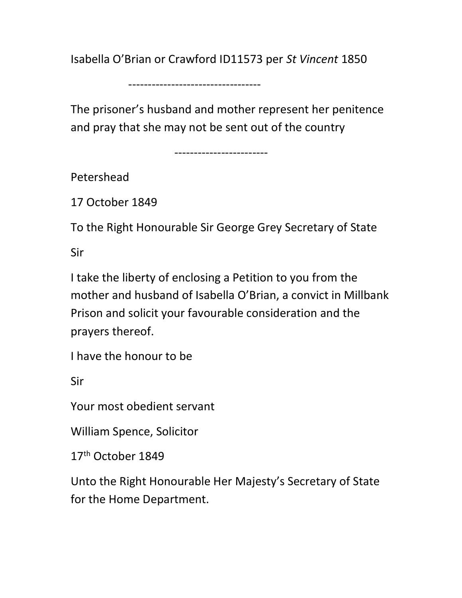Isabella O'Brian or Crawford ID11573 per St Vincent 1850

----------------------------------

The prisoner's husband and mother represent her penitence and pray that she may not be sent out of the country

------------------------

Petershead

17 October 1849

To the Right Honourable Sir George Grey Secretary of State

Sir

I take the liberty of enclosing a Petition to you from the mother and husband of Isabella O'Brian, a convict in Millbank Prison and solicit your favourable consideration and the prayers thereof.

I have the honour to be

Sir

Your most obedient servant

William Spence, Solicitor

17<sup>th</sup> October 1849

Unto the Right Honourable Her Majesty's Secretary of State for the Home Department.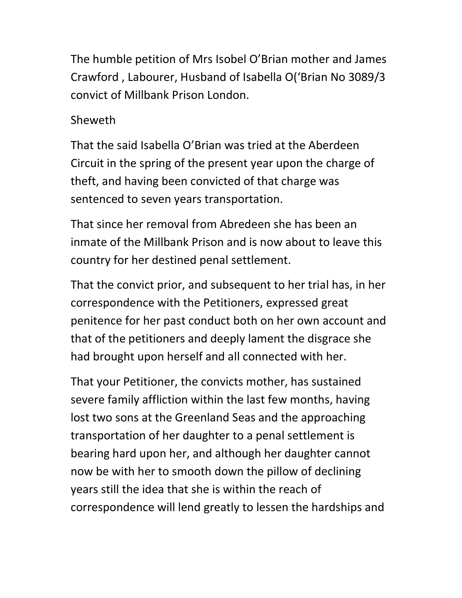The humble petition of Mrs Isobel O'Brian mother and James Crawford , Labourer, Husband of Isabella O('Brian No 3089/3 convict of Millbank Prison London.

## Sheweth

That the said Isabella O'Brian was tried at the Aberdeen Circuit in the spring of the present year upon the charge of theft, and having been convicted of that charge was sentenced to seven years transportation.

That since her removal from Abredeen she has been an inmate of the Millbank Prison and is now about to leave this country for her destined penal settlement.

That the convict prior, and subsequent to her trial has, in her correspondence with the Petitioners, expressed great penitence for her past conduct both on her own account and that of the petitioners and deeply lament the disgrace she had brought upon herself and all connected with her.

That your Petitioner, the convicts mother, has sustained severe family affliction within the last few months, having lost two sons at the Greenland Seas and the approaching transportation of her daughter to a penal settlement is bearing hard upon her, and although her daughter cannot now be with her to smooth down the pillow of declining years still the idea that she is within the reach of correspondence will lend greatly to lessen the hardships and